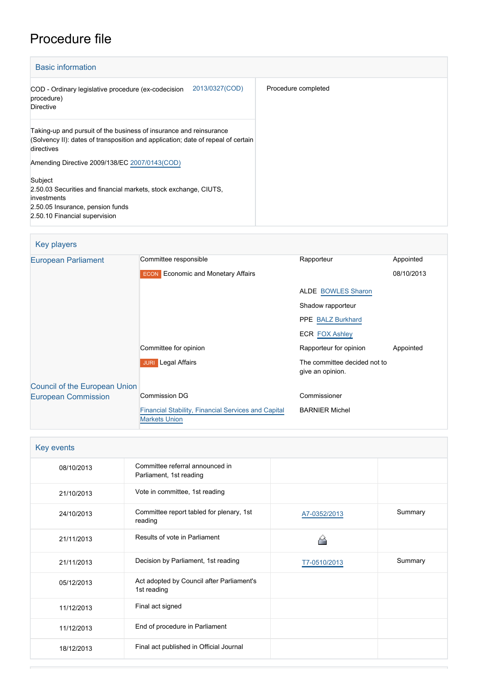## Procedure file

| <b>Basic information</b>                                                                                                                                             |                     |
|----------------------------------------------------------------------------------------------------------------------------------------------------------------------|---------------------|
| 2013/0327(COD)<br>COD - Ordinary legislative procedure (ex-codecision<br>procedure)<br><b>Directive</b>                                                              | Procedure completed |
| Taking-up and pursuit of the business of insurance and reinsurance<br>(Solvency II): dates of transposition and application; date of repeal of certain<br>directives |                     |
| Amending Directive 2009/138/EC 2007/0143(COD)                                                                                                                        |                     |
| Subject<br>2.50.03 Securities and financial markets, stock exchange, CIUTS,<br>investments<br>2.50.05 Insurance, pension funds<br>2.50.10 Financial supervision      |                     |

#### Key players [European Parliament](http://www.europarl.europa.eu/) Committee responsible Rapporteur Rapporteur Appointed **ECON** Economic and Monetary Affairs ALDE [BOWLES Sharon](http://www.europarl.europa.eu/meps/en/33570) Shadow rapporteur PPE [BALZ Burkhard](http://www.europarl.europa.eu/meps/en/96997) ECR **[FOX Ashley](http://www.europarl.europa.eu/meps/en/96957)** 08/10/2013 Committee for opinion and a subset of the Rapporteur for opinion Appointed **JURI** Legal Affairs **The committee decided not to** give an opinion. [Council of the European Union](http://www.consilium.europa.eu) [European Commission](http://ec.europa.eu/) Commission DG [Financial Stability, Financial Services and Capital](http://ec.europa.eu/info/departments/financial-stability-financial-services-and-capital-markets-union_en) [Markets Union](http://ec.europa.eu/info/departments/financial-stability-financial-services-and-capital-markets-union_en) Commissioner BARNIER Michel

| Key events |                                                            |              |         |
|------------|------------------------------------------------------------|--------------|---------|
| 08/10/2013 | Committee referral announced in<br>Parliament, 1st reading |              |         |
| 21/10/2013 | Vote in committee, 1st reading                             |              |         |
| 24/10/2013 | Committee report tabled for plenary, 1st<br>reading        | A7-0352/2013 | Summary |
| 21/11/2013 | Results of vote in Parliament                              |              |         |
| 21/11/2013 | Decision by Parliament, 1st reading                        | T7-0510/2013 | Summary |
| 05/12/2013 | Act adopted by Council after Parliament's<br>1st reading   |              |         |
| 11/12/2013 | Final act signed                                           |              |         |
| 11/12/2013 | End of procedure in Parliament                             |              |         |
| 18/12/2013 | Final act published in Official Journal                    |              |         |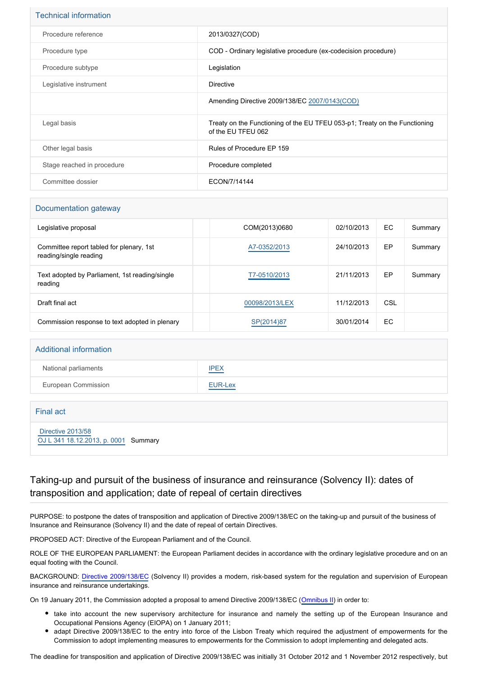| 2013/0327(COD)                                                                                   |
|--------------------------------------------------------------------------------------------------|
| COD - Ordinary legislative procedure (ex-codecision procedure)                                   |
| Legislation                                                                                      |
| Directive                                                                                        |
| Amending Directive 2009/138/EC 2007/0143(COD)                                                    |
| Treaty on the Functioning of the EU TFEU 053-p1; Treaty on the Functioning<br>of the EU TFEU 062 |
| Rules of Procedure EP 159                                                                        |
| Procedure completed                                                                              |
| ECON/7/14144                                                                                     |
|                                                                                                  |

#### Documentation gateway

| Legislative proposal                                               | COM(2013)0680  | 02/10/2013 | EC. | Summary |
|--------------------------------------------------------------------|----------------|------------|-----|---------|
| Committee report tabled for plenary, 1st<br>reading/single reading | A7-0352/2013   | 24/10/2013 | EP  | Summary |
| Text adopted by Parliament, 1st reading/single<br>reading          | T7-0510/2013   | 21/11/2013 | EP  | Summary |
| Draft final act                                                    | 00098/2013/LEX | 11/12/2013 | CSL |         |
| Commission response to text adopted in plenary                     | SP(2014)87     | 30/01/2014 | EC  |         |

# Additional information National parliaments **[IPEX](http://www.ipex.eu/IPEXL-WEB/dossier/dossier.do?code=COD&year=2013&number=0327&appLng=EN)** European Commission **[EUR-Lex](http://ec.europa.eu/prelex/liste_resultats.cfm?CL=en&ReqId=0&DocType=COD&DocYear=2013&DocNum=0327)**

| Final act                                                 |  |
|-----------------------------------------------------------|--|
| Directive 2013/58<br>OJ L 341 18.12.2013, p. 0001 Summary |  |

### Taking-up and pursuit of the business of insurance and reinsurance (Solvency II): dates of transposition and application; date of repeal of certain directives

PURPOSE: to postpone the dates of transposition and application of Directive 2009/138/EC on the taking-up and pursuit of the business of Insurance and Reinsurance (Solvency II) and the date of repeal of certain Directives.

PROPOSED ACT: Directive of the European Parliament and of the Council.

ROLE OF THE EUROPEAN PARLIAMENT: the European Parliament decides in accordance with the ordinary legislative procedure and on an equal footing with the Council.

BACKGROUND: [Directive 2009/138/EC](http://www.europarl.europa.eu/oeil/popups/ficheprocedure.do?reference=2007/0143(COD)&l=en) (Solvency II) provides a modern, risk-based system for the regulation and supervision of European insurance and reinsurance undertakings.

On 19 January 2011, the Commission adopted a proposal to amend Directive 2009/138/EC [\(Omnibus II](http://www.europarl.europa.eu/oeil/FindByProcnum.do?lang=en&procnum=COD/2011/0006)) in order to:

- take into account the new supervisory architecture for insurance and namely the setting up of the European Insurance and Occupational Pensions Agency (EIOPA) on 1 January 2011;
- adapt Directive 2009/138/EC to the entry into force of the Lisbon Treaty which required the adjustment of empowerments for the Commission to adopt implementing measures to empowerments for the Commission to adopt implementing and delegated acts.

The deadline for transposition and application of Directive 2009/138/EC was initially 31 October 2012 and 1 November 2012 respectively, but